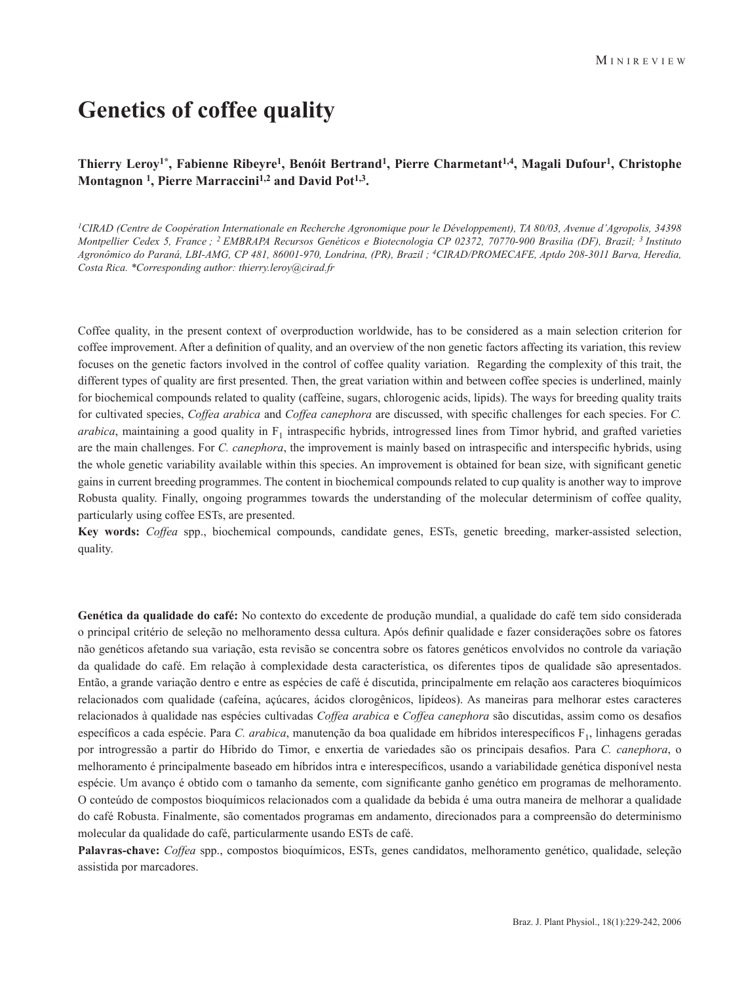# **Genetics of coffee quality**

# **Thierry Leroy1\*, Fabienne Ribeyre1, Benóit Bertrand1, Pierre Charmetant1,4, Magali Dufour1, Christophe Montagnon 1, Pierre Marraccini1,2 and David Pot1,3.**

*1CIRAD (Centre de Coopération Internationale en Recherche Agronomique pour le Développement), TA 80/03, Avenue d'Agropolis, 34398 Montpellier Cedex 5, France ; 2 EMBRAPA Recursos Genéticos e Biotecnologia CP 02372, 70770-900 Brasilia (DF), Brazil; 3 Instituto Agronômico do Paraná, LBI-AMG, CP 481, 86001-970, Londrina, (PR), Brazil ; 4CIRAD/PROMECAFE, Aptdo 208-3011 Barva, Heredia, Costa Rica. \*Corresponding author: thierry.leroy@cirad.fr*

Coffee quality, in the present context of overproduction worldwide, has to be considered as a main selection criterion for coffee improvement. After a definition of quality, and an overview of the non genetic factors affecting its variation, this review focuses on the genetic factors involved in the control of coffee quality variation. Regarding the complexity of this trait, the different types of quality are first presented. Then, the great variation within and between coffee species is underlined, mainly for biochemical compounds related to quality (caffeine, sugars, chlorogenic acids, lipids). The ways for breeding quality traits for cultivated species, *Coffea arabica* and *Coffea canephora* are discussed, with specific challenges for each species. For *C. arabica*, maintaining a good quality in  $F_1$  intraspecific hybrids, introgressed lines from Timor hybrid, and grafted varieties are the main challenges. For *C. canephora*, the improvement is mainly based on intraspecific and interspecific hybrids, using the whole genetic variability available within this species. An improvement is obtained for bean size, with significant genetic gains in current breeding programmes. The content in biochemical compounds related to cup quality is another way to improve Robusta quality. Finally, ongoing programmes towards the understanding of the molecular determinism of coffee quality, particularly using coffee ESTs, are presented.

**Key words:** *Coffea* spp., biochemical compounds, candidate genes, ESTs, genetic breeding, marker-assisted selection, quality.

**Genética da qualidade do café:** No contexto do excedente de produção mundial, a qualidade do café tem sido considerada o principal critério de seleção no melhoramento dessa cultura. Após definir qualidade e fazer considerações sobre os fatores não genéticos afetando sua variação, esta revisão se concentra sobre os fatores genéticos envolvidos no controle da variação da qualidade do café. Em relação à complexidade desta característica, os diferentes tipos de qualidade são apresentados. Então, a grande variação dentro e entre as espécies de café é discutida, principalmente em relação aos caracteres bioquímicos relacionados com qualidade (cafeína, açúcares, ácidos clorogênicos, lipídeos). As maneiras para melhorar estes caracteres relacionados à qualidade nas espécies cultivadas *Coffea arabica* e *Coffea canephora* são discutidas, assim como os desafios específicos a cada espécie. Para *C. arabica*, manutenção da boa qualidade em híbridos interespecíficos F<sub>1</sub>, linhagens geradas por introgressão a partir do Híbrido do Timor, e enxertia de variedades são os principais desafios. Para *C. canephora*, o melhoramento é principalmente baseado em híbridos intra e interespecíficos, usando a variabilidade genética disponível nesta espécie. Um avanço é obtido com o tamanho da semente, com significante ganho genético em programas de melhoramento. O conteúdo de compostos bioquímicos relacionados com a qualidade da bebida é uma outra maneira de melhorar a qualidade do café Robusta. Finalmente, são comentados programas em andamento, direcionados para a compreensão do determinismo molecular da qualidade do café, particularmente usando ESTs de café.

**Palavras-chave:** *Coffea* spp., compostos bioquímicos, ESTs, genes candidatos, melhoramento genético, qualidade, seleção assistida por marcadores.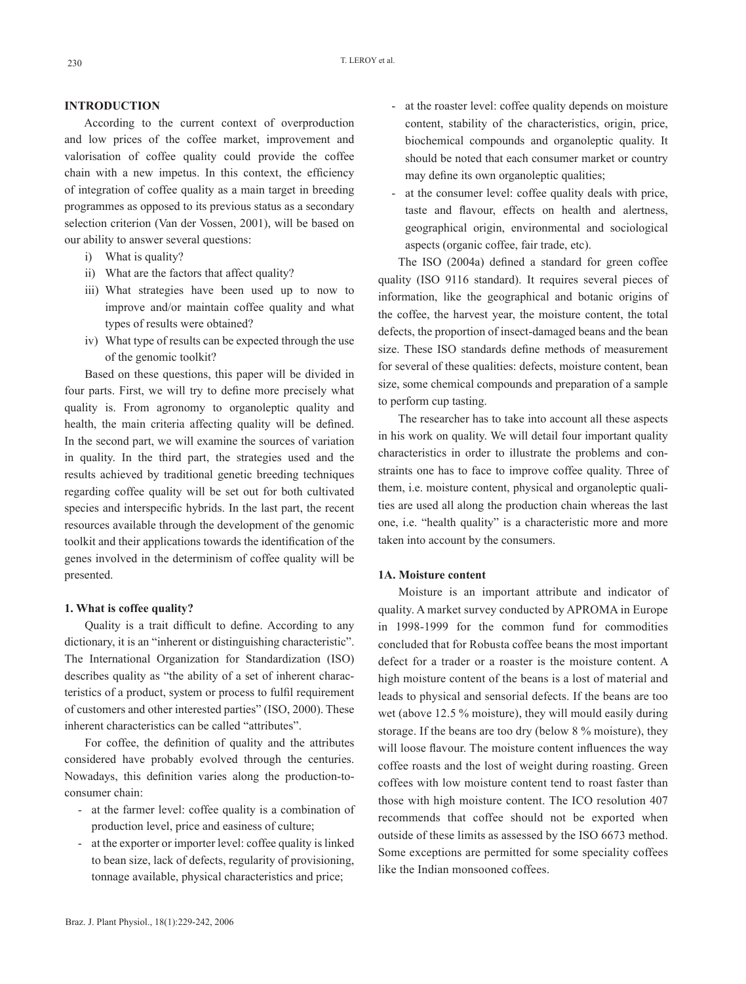# **INTRODUCTION**

 According to the current context of overproduction and low prices of the coffee market, improvement and valorisation of coffee quality could provide the coffee chain with a new impetus. In this context, the efficiency of integration of coffee quality as a main target in breeding programmes as opposed to its previous status as a secondary selection criterion (Van der Vossen, 2001), will be based on our ability to answer several questions:

- i) What is quality?
- ii) What are the factors that affect quality?
- iii) What strategies have been used up to now to improve and/or maintain coffee quality and what types of results were obtained?
- iv) What type of results can be expected through the use of the genomic toolkit?

 Based on these questions, this paper will be divided in four parts. First, we will try to define more precisely what quality is. From agronomy to organoleptic quality and health, the main criteria affecting quality will be defined. In the second part, we will examine the sources of variation in quality. In the third part, the strategies used and the results achieved by traditional genetic breeding techniques regarding coffee quality will be set out for both cultivated species and interspecific hybrids. In the last part, the recent resources available through the development of the genomic toolkit and their applications towards the identification of the genes involved in the determinism of coffee quality will be presented.

#### **1. What is coffee quality?**

 Quality is a trait difficult to define. According to any dictionary, it is an "inherent or distinguishing characteristic". The International Organization for Standardization (ISO) describes quality as "the ability of a set of inherent characteristics of a product, system or process to fulfil requirement of customers and other interested parties" (ISO, 2000). These inherent characteristics can be called "attributes".

 For coffee, the definition of quality and the attributes considered have probably evolved through the centuries. Nowadays, this definition varies along the production-toconsumer chain:

- at the farmer level: coffee quality is a combination of production level, price and easiness of culture;
- at the exporter or importer level: coffee quality is linked to bean size, lack of defects, regularity of provisioning, tonnage available, physical characteristics and price;
- at the roaster level: coffee quality depends on moisture content, stability of the characteristics, origin, price, biochemical compounds and organoleptic quality. It should be noted that each consumer market or country may define its own organoleptic qualities;
- at the consumer level: coffee quality deals with price, taste and flavour, effects on health and alertness, geographical origin, environmental and sociological aspects (organic coffee, fair trade, etc).

 The ISO (2004a) defined a standard for green coffee quality (ISO 9116 standard). It requires several pieces of information, like the geographical and botanic origins of the coffee, the harvest year, the moisture content, the total defects, the proportion of insect-damaged beans and the bean size. These ISO standards define methods of measurement for several of these qualities: defects, moisture content, bean size, some chemical compounds and preparation of a sample to perform cup tasting.

 The researcher has to take into account all these aspects in his work on quality. We will detail four important quality characteristics in order to illustrate the problems and constraints one has to face to improve coffee quality. Three of them, i.e. moisture content, physical and organoleptic qualities are used all along the production chain whereas the last one, i.e. "health quality" is a characteristic more and more taken into account by the consumers.

#### **1A. Moisture content**

 Moisture is an important attribute and indicator of quality. A market survey conducted by APROMA in Europe in 1998-1999 for the common fund for commodities concluded that for Robusta coffee beans the most important defect for a trader or a roaster is the moisture content. A high moisture content of the beans is a lost of material and leads to physical and sensorial defects. If the beans are too wet (above 12.5 % moisture), they will mould easily during storage. If the beans are too dry (below 8 % moisture), they will loose flavour. The moisture content influences the way coffee roasts and the lost of weight during roasting. Green coffees with low moisture content tend to roast faster than those with high moisture content. The ICO resolution 407 recommends that coffee should not be exported when outside of these limits as assessed by the ISO 6673 method. Some exceptions are permitted for some speciality coffees like the Indian monsooned coffees.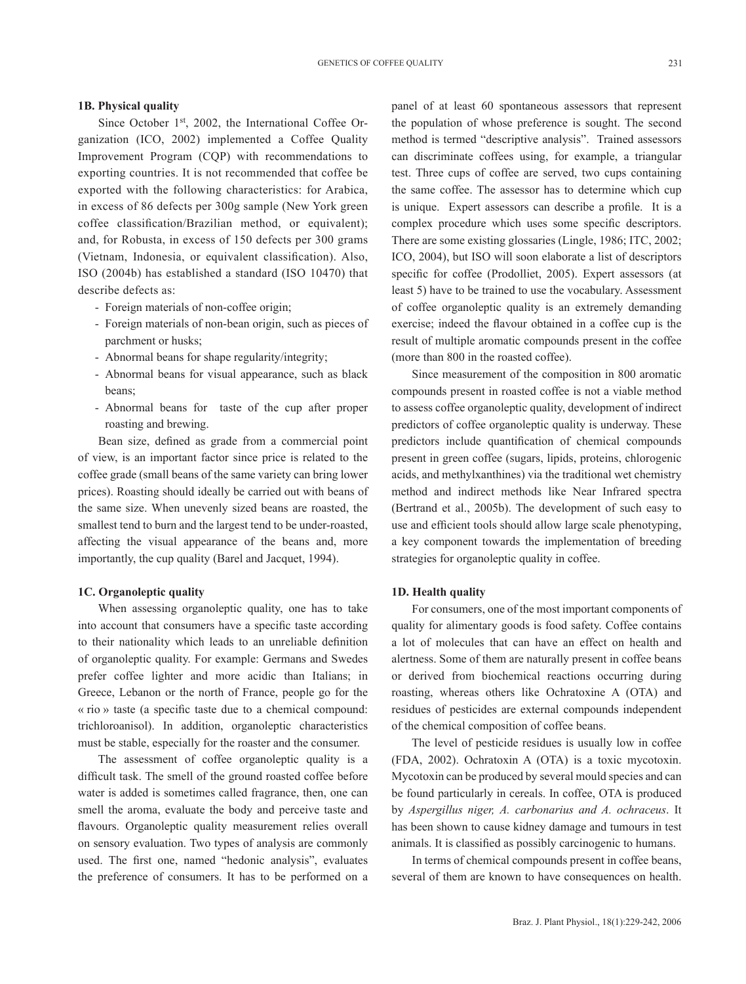#### **1B. Physical quality**

Since October 1<sup>st</sup>, 2002, the International Coffee Organization (ICO, 2002) implemented a Coffee Quality Improvement Program (CQP) with recommendations to exporting countries. It is not recommended that coffee be exported with the following characteristics: for Arabica, in excess of 86 defects per 300g sample (New York green coffee classification/Brazilian method, or equivalent); and, for Robusta, in excess of 150 defects per 300 grams (Vietnam, Indonesia, or equivalent classification). Also, ISO (2004b) has established a standard (ISO 10470) that describe defects as:

- Foreign materials of non-coffee origin;
- Foreign materials of non-bean origin, such as pieces of parchment or husks;
- Abnormal beans for shape regularity/integrity;
- Abnormal beans for visual appearance, such as black beans;
- Abnormal beans for taste of the cup after proper roasting and brewing.

 Bean size, defined as grade from a commercial point of view, is an important factor since price is related to the coffee grade (small beans of the same variety can bring lower prices). Roasting should ideally be carried out with beans of the same size. When unevenly sized beans are roasted, the smallest tend to burn and the largest tend to be under-roasted, affecting the visual appearance of the beans and, more importantly, the cup quality (Barel and Jacquet, 1994).

#### **1C. Organoleptic quality**

 When assessing organoleptic quality, one has to take into account that consumers have a specific taste according to their nationality which leads to an unreliable definition of organoleptic quality. For example: Germans and Swedes prefer coffee lighter and more acidic than Italians; in Greece, Lebanon or the north of France, people go for the « rio » taste (a specific taste due to a chemical compound: trichloroanisol). In addition, organoleptic characteristics must be stable, especially for the roaster and the consumer.

 The assessment of coffee organoleptic quality is a difficult task. The smell of the ground roasted coffee before water is added is sometimes called fragrance, then, one can smell the aroma, evaluate the body and perceive taste and flavours. Organoleptic quality measurement relies overall on sensory evaluation. Two types of analysis are commonly used. The first one, named "hedonic analysis", evaluates the preference of consumers. It has to be performed on a panel of at least 60 spontaneous assessors that represent the population of whose preference is sought. The second method is termed "descriptive analysis". Trained assessors can discriminate coffees using, for example, a triangular test. Three cups of coffee are served, two cups containing the same coffee. The assessor has to determine which cup is unique. Expert assessors can describe a profile. It is a complex procedure which uses some specific descriptors. There are some existing glossaries (Lingle, 1986; ITC, 2002; ICO, 2004), but ISO will soon elaborate a list of descriptors specific for coffee (Prodolliet, 2005). Expert assessors (at least 5) have to be trained to use the vocabulary. Assessment of coffee organoleptic quality is an extremely demanding exercise; indeed the flavour obtained in a coffee cup is the result of multiple aromatic compounds present in the coffee (more than 800 in the roasted coffee).

 Since measurement of the composition in 800 aromatic compounds present in roasted coffee is not a viable method to assess coffee organoleptic quality, development of indirect predictors of coffee organoleptic quality is underway. These predictors include quantification of chemical compounds present in green coffee (sugars, lipids, proteins, chlorogenic acids, and methylxanthines) via the traditional wet chemistry method and indirect methods like Near Infrared spectra (Bertrand et al., 2005b). The development of such easy to use and efficient tools should allow large scale phenotyping, a key component towards the implementation of breeding strategies for organoleptic quality in coffee.

## **1D. Health quality**

 For consumers, one of the most important components of quality for alimentary goods is food safety. Coffee contains a lot of molecules that can have an effect on health and alertness. Some of them are naturally present in coffee beans or derived from biochemical reactions occurring during roasting, whereas others like Ochratoxine A (OTA) and residues of pesticides are external compounds independent of the chemical composition of coffee beans.

 The level of pesticide residues is usually low in coffee (FDA, 2002). Ochratoxin A (OTA) is a toxic mycotoxin. Mycotoxin can be produced by several mould species and can be found particularly in cereals. In coffee, OTA is produced by *Aspergillus niger, A. carbonarius and A. ochraceus*. It has been shown to cause kidney damage and tumours in test animals. It is classified as possibly carcinogenic to humans.

 In terms of chemical compounds present in coffee beans, several of them are known to have consequences on health.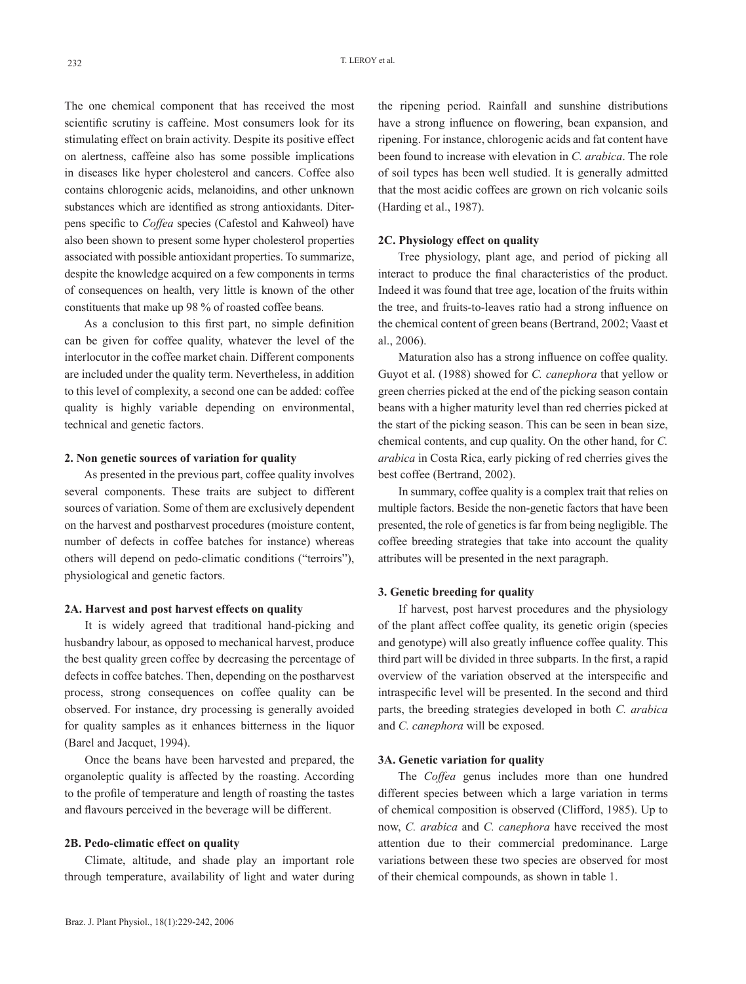The one chemical component that has received the most scientific scrutiny is caffeine. Most consumers look for its stimulating effect on brain activity. Despite its positive effect on alertness, caffeine also has some possible implications in diseases like hyper cholesterol and cancers. Coffee also contains chlorogenic acids, melanoidins, and other unknown substances which are identified as strong antioxidants. Diterpens specific to *Coffea* species (Cafestol and Kahweol) have also been shown to present some hyper cholesterol properties associated with possible antioxidant properties. To summarize, despite the knowledge acquired on a few components in terms of consequences on health, very little is known of the other constituents that make up 98 % of roasted coffee beans.

 As a conclusion to this first part, no simple definition can be given for coffee quality, whatever the level of the interlocutor in the coffee market chain. Different components are included under the quality term. Nevertheless, in addition to this level of complexity, a second one can be added: coffee quality is highly variable depending on environmental, technical and genetic factors.

#### **2. Non genetic sources of variation for quality**

 As presented in the previous part, coffee quality involves several components. These traits are subject to different sources of variation. Some of them are exclusively dependent on the harvest and postharvest procedures (moisture content, number of defects in coffee batches for instance) whereas others will depend on pedo-climatic conditions ("terroirs"), physiological and genetic factors.

#### **2A. Harvest and post harvest effects on quality**

 It is widely agreed that traditional hand-picking and husbandry labour, as opposed to mechanical harvest, produce the best quality green coffee by decreasing the percentage of defects in coffee batches. Then, depending on the postharvest process, strong consequences on coffee quality can be observed. For instance, dry processing is generally avoided for quality samples as it enhances bitterness in the liquor (Barel and Jacquet, 1994).

 Once the beans have been harvested and prepared, the organoleptic quality is affected by the roasting. According to the profile of temperature and length of roasting the tastes and flavours perceived in the beverage will be different.

#### **2B. Pedo-climatic effect on quality**

 Climate, altitude, and shade play an important role through temperature, availability of light and water during the ripening period. Rainfall and sunshine distributions have a strong influence on flowering, bean expansion, and ripening. For instance, chlorogenic acids and fat content have been found to increase with elevation in *C. arabica*. The role of soil types has been well studied. It is generally admitted that the most acidic coffees are grown on rich volcanic soils (Harding et al., 1987).

#### **2C. Physiology effect on quality**

 Tree physiology, plant age, and period of picking all interact to produce the final characteristics of the product. Indeed it was found that tree age, location of the fruits within the tree, and fruits-to-leaves ratio had a strong influence on the chemical content of green beans (Bertrand, 2002; Vaast et al., 2006).

 Maturation also has a strong influence on coffee quality. Guyot et al. (1988) showed for *C. canephora* that yellow or green cherries picked at the end of the picking season contain beans with a higher maturity level than red cherries picked at the start of the picking season. This can be seen in bean size, chemical contents, and cup quality. On the other hand, for *C. arabica* in Costa Rica, early picking of red cherries gives the best coffee (Bertrand, 2002).

 In summary, coffee quality is a complex trait that relies on multiple factors. Beside the non-genetic factors that have been presented, the role of genetics is far from being negligible. The coffee breeding strategies that take into account the quality attributes will be presented in the next paragraph.

## **3. Genetic breeding for quality**

 If harvest, post harvest procedures and the physiology of the plant affect coffee quality, its genetic origin (species and genotype) will also greatly influence coffee quality. This third part will be divided in three subparts. In the first, a rapid overview of the variation observed at the interspecific and intraspecific level will be presented. In the second and third parts, the breeding strategies developed in both *C. arabica* and *C. canephora* will be exposed.

#### **3A. Genetic variation for quality**

 The *Coffea* genus includes more than one hundred different species between which a large variation in terms of chemical composition is observed (Clifford, 1985). Up to now, *C. arabica* and *C. canephora* have received the most attention due to their commercial predominance. Large variations between these two species are observed for most of their chemical compounds, as shown in table 1.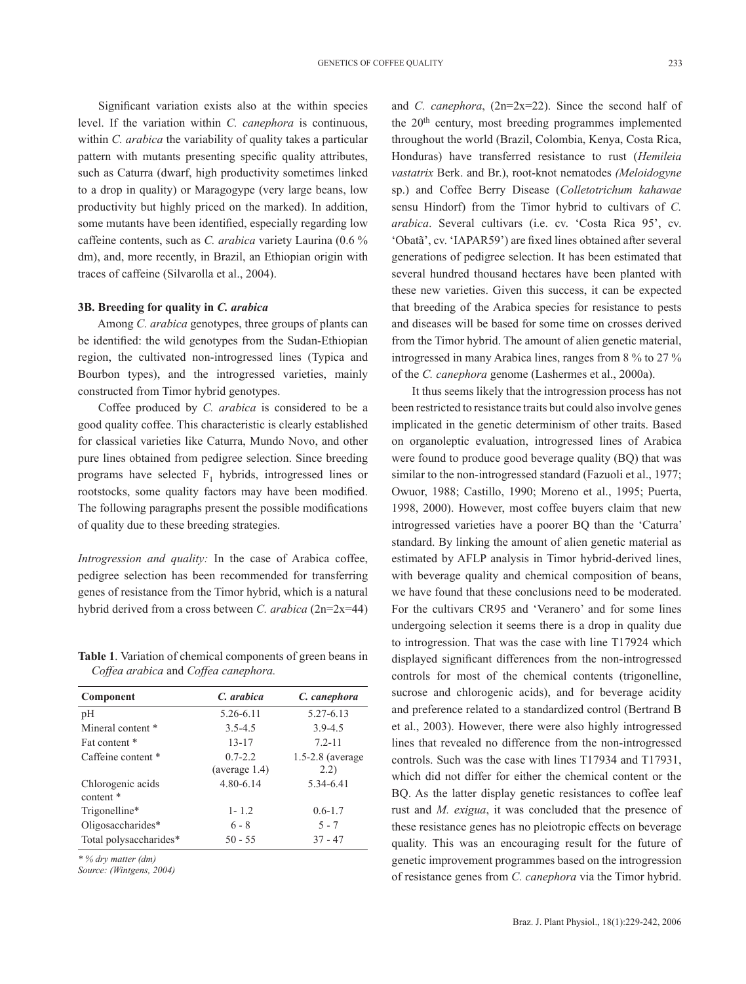Significant variation exists also at the within species level. If the variation within *C. canephora* is continuous, within *C. arabica* the variability of quality takes a particular pattern with mutants presenting specific quality attributes, such as Caturra (dwarf, high productivity sometimes linked to a drop in quality) or Maragogype (very large beans, low productivity but highly priced on the marked). In addition, some mutants have been identified, especially regarding low caffeine contents, such as *C. arabica* variety Laurina (0.6 % dm), and, more recently, in Brazil, an Ethiopian origin with traces of caffeine (Silvarolla et al., 2004).

### **3B. Breeding for quality in** *C. arabica*

 Among *C. arabica* genotypes, three groups of plants can be identified: the wild genotypes from the Sudan-Ethiopian region, the cultivated non-introgressed lines (Typica and Bourbon types), and the introgressed varieties, mainly constructed from Timor hybrid genotypes.

 Coffee produced by *C. arabica* is considered to be a good quality coffee. This characteristic is clearly established for classical varieties like Caturra, Mundo Novo, and other pure lines obtained from pedigree selection. Since breeding programs have selected  $F_1$  hybrids, introgressed lines or rootstocks, some quality factors may have been modified. The following paragraphs present the possible modifications of quality due to these breeding strategies.

*Introgression and quality:* In the case of Arabica coffee, pedigree selection has been recommended for transferring genes of resistance from the Timor hybrid, which is a natural hybrid derived from a cross between *C. arabica* (2n=2x=44)

**Table 1**. Variation of chemical components of green beans in *Coffea arabica* and *Coffea canephora.*

| Component                      | C. arabica       | C. canephora          |
|--------------------------------|------------------|-----------------------|
| pH                             | 5.26-6.11        | 5.27-6.13             |
| Mineral content *              | $3.5 - 4.5$      | $3.9 - 4.5$           |
| Fat content *                  | $13 - 17$        | $7.2 - 11$            |
| Caffeine content *             | $0.7 - 2.2$      | $1.5 - 2.8$ (average) |
|                                | (average $1.4$ ) | 2.2)                  |
| Chlorogenic acids<br>content * | 4.80-6.14        | 5.34-6.41             |
| Trigonelline*                  | $1 - 1.2$        | $0.6 - 1.7$           |
| Oligosaccharides*              | $6 - 8$          | $5 - 7$               |
| Total polysaccharides*         | $50 - 55$        | $37 - 47$             |

*\* % dry matter (dm)*

*Source: (Wintgens, 2004)* 

and *C. canephora*, (2n=2x=22). Since the second half of the 20th century, most breeding programmes implemented throughout the world (Brazil, Colombia, Kenya, Costa Rica, Honduras) have transferred resistance to rust (*Hemileia vastatrix* Berk. and Br.), root-knot nematodes *(Meloidogyne*  sp.) and Coffee Berry Disease (*Colletotrichum kahawae* sensu Hindorf) from the Timor hybrid to cultivars of *C. arabica*. Several cultivars (i.e. cv. 'Costa Rica 95', cv. 'Obatã', cv. 'IAPAR59') are fixed lines obtained after several generations of pedigree selection. It has been estimated that several hundred thousand hectares have been planted with these new varieties. Given this success, it can be expected that breeding of the Arabica species for resistance to pests and diseases will be based for some time on crosses derived from the Timor hybrid. The amount of alien genetic material, introgressed in many Arabica lines, ranges from 8 % to 27 % of the *C. canephora* genome (Lashermes et al., 2000a).

 It thus seems likely that the introgression process has not been restricted to resistance traits but could also involve genes implicated in the genetic determinism of other traits. Based on organoleptic evaluation, introgressed lines of Arabica were found to produce good beverage quality (BQ) that was similar to the non-introgressed standard (Fazuoli et al., 1977; Owuor, 1988; Castillo, 1990; Moreno et al., 1995; Puerta, 1998, 2000). However, most coffee buyers claim that new introgressed varieties have a poorer BQ than the 'Caturra' standard. By linking the amount of alien genetic material as estimated by AFLP analysis in Timor hybrid-derived lines, with beverage quality and chemical composition of beans, we have found that these conclusions need to be moderated. For the cultivars CR95 and 'Veranero' and for some lines undergoing selection it seems there is a drop in quality due to introgression. That was the case with line T17924 which displayed significant differences from the non-introgressed controls for most of the chemical contents (trigonelline, sucrose and chlorogenic acids), and for beverage acidity and preference related to a standardized control (Bertrand B et al., 2003). However, there were also highly introgressed lines that revealed no difference from the non-introgressed controls. Such was the case with lines T17934 and T17931, which did not differ for either the chemical content or the BQ. As the latter display genetic resistances to coffee leaf rust and *M. exigua*, it was concluded that the presence of these resistance genes has no pleiotropic effects on beverage quality. This was an encouraging result for the future of genetic improvement programmes based on the introgression of resistance genes from *C. canephora* via the Timor hybrid.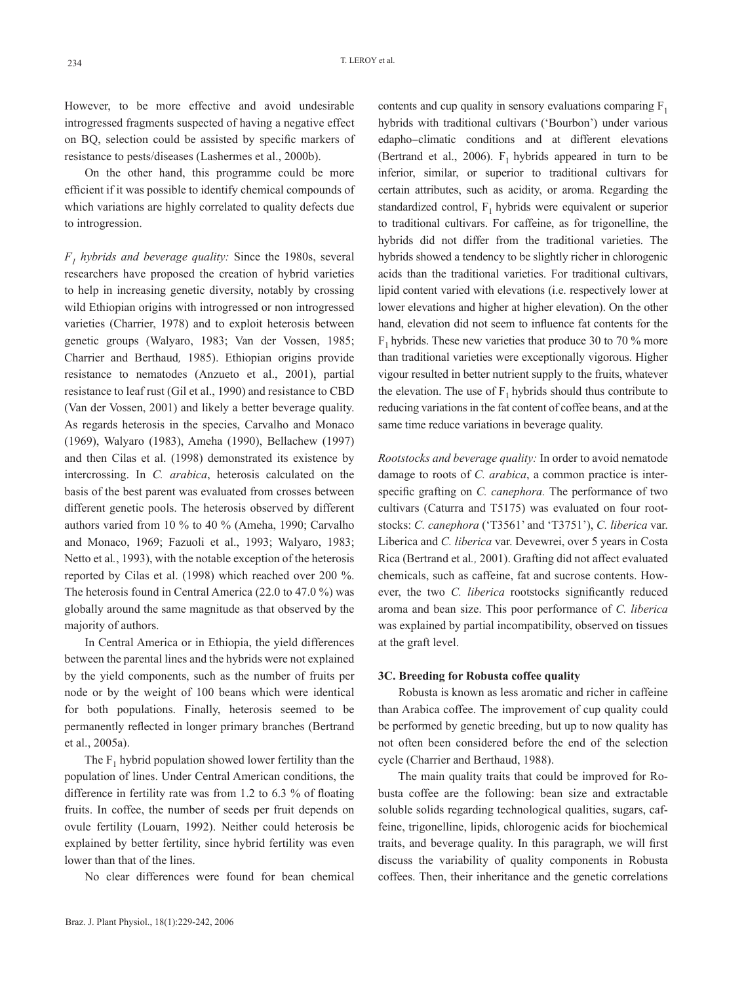However, to be more effective and avoid undesirable introgressed fragments suspected of having a negative effect on BQ, selection could be assisted by specific markers of resistance to pests/diseases (Lashermes et al., 2000b).

 On the other hand, this programme could be more efficient if it was possible to identify chemical compounds of which variations are highly correlated to quality defects due to introgression.

*F1 hybrids and beverage quality:* Since the 1980s, several researchers have proposed the creation of hybrid varieties to help in increasing genetic diversity, notably by crossing wild Ethiopian origins with introgressed or non introgressed varieties (Charrier, 1978) and to exploit heterosis between genetic groups (Walyaro, 1983; Van der Vossen, 1985; Charrier and Berthaud*,* 1985). Ethiopian origins provide resistance to nematodes (Anzueto et al., 2001), partial resistance to leaf rust (Gil et al., 1990) and resistance to CBD (Van der Vossen, 2001) and likely a better beverage quality. As regards heterosis in the species, Carvalho and Monaco (1969), Walyaro (1983), Ameha (1990), Bellachew (1997) and then Cilas et al. (1998) demonstrated its existence by intercrossing. In *C. arabica*, heterosis calculated on the basis of the best parent was evaluated from crosses between different genetic pools. The heterosis observed by different authors varied from 10 % to 40 % (Ameha, 1990; Carvalho and Monaco, 1969; Fazuoli et al., 1993; Walyaro, 1983; Netto et al*.*, 1993), with the notable exception of the heterosis reported by Cilas et al. (1998) which reached over 200 %. The heterosis found in Central America (22.0 to 47.0 %) was globally around the same magnitude as that observed by the majority of authors.

 In Central America or in Ethiopia, the yield differences between the parental lines and the hybrids were not explained by the yield components, such as the number of fruits per node or by the weight of 100 beans which were identical for both populations. Finally, heterosis seemed to be permanently reflected in longer primary branches (Bertrand et al., 2005a).

The  $F_1$  hybrid population showed lower fertility than the population of lines. Under Central American conditions, the difference in fertility rate was from 1.2 to 6.3 % of floating fruits. In coffee, the number of seeds per fruit depends on ovule fertility (Louarn, 1992). Neither could heterosis be explained by better fertility, since hybrid fertility was even lower than that of the lines.

No clear differences were found for bean chemical

Braz. J. Plant Physiol., 18(1):229-242, 2006

contents and cup quality in sensory evaluations comparing  $F_1$ hybrids with traditional cultivars ('Bourbon') under various edapho−climatic conditions and at different elevations (Bertrand et al., 2006).  $F_1$  hybrids appeared in turn to be inferior, similar, or superior to traditional cultivars for certain attributes, such as acidity, or aroma. Regarding the standardized control,  $F_1$  hybrids were equivalent or superior to traditional cultivars. For caffeine, as for trigonelline, the hybrids did not differ from the traditional varieties. The hybrids showed a tendency to be slightly richer in chlorogenic acids than the traditional varieties. For traditional cultivars, lipid content varied with elevations (i.e. respectively lower at lower elevations and higher at higher elevation). On the other hand, elevation did not seem to influence fat contents for the  $F_1$  hybrids. These new varieties that produce 30 to 70 % more than traditional varieties were exceptionally vigorous. Higher vigour resulted in better nutrient supply to the fruits, whatever the elevation. The use of  $F_1$  hybrids should thus contribute to reducing variations in the fat content of coffee beans, and at the same time reduce variations in beverage quality.

*Rootstocks and beverage quality:* In order to avoid nematode damage to roots of *C. arabica*, a common practice is interspecific grafting on *C. canephora.* The performance of two cultivars (Caturra and T5175) was evaluated on four rootstocks: *C. canephora* ('T3561' and 'T3751'), *C. liberica* var. Liberica and *C. liberica* var. Devewrei, over 5 years in Costa Rica (Bertrand et al*.,* 2001). Grafting did not affect evaluated chemicals, such as caffeine, fat and sucrose contents. However, the two *C. liberica* rootstocks significantly reduced aroma and bean size. This poor performance of *C. liberica* was explained by partial incompatibility, observed on tissues at the graft level.

## **3C. Breeding for Robusta coffee quality**

 Robusta is known as less aromatic and richer in caffeine than Arabica coffee. The improvement of cup quality could be performed by genetic breeding, but up to now quality has not often been considered before the end of the selection cycle (Charrier and Berthaud, 1988).

 The main quality traits that could be improved for Robusta coffee are the following: bean size and extractable soluble solids regarding technological qualities, sugars, caffeine, trigonelline, lipids, chlorogenic acids for biochemical traits, and beverage quality. In this paragraph, we will first discuss the variability of quality components in Robusta coffees. Then, their inheritance and the genetic correlations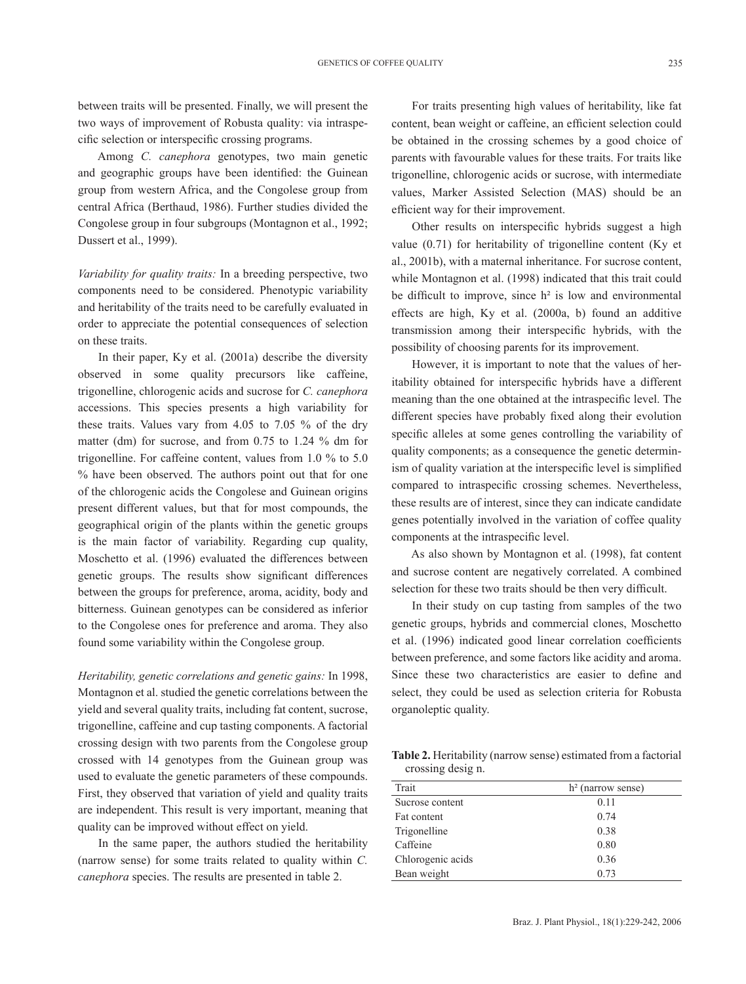between traits will be presented. Finally, we will present the two ways of improvement of Robusta quality: via intraspecific selection or interspecific crossing programs.

 Among *C. canephora* genotypes, two main genetic and geographic groups have been identified: the Guinean group from western Africa, and the Congolese group from central Africa (Berthaud, 1986). Further studies divided the Congolese group in four subgroups (Montagnon et al., 1992; Dussert et al., 1999).

*Variability for quality traits:* In a breeding perspective, two components need to be considered. Phenotypic variability and heritability of the traits need to be carefully evaluated in order to appreciate the potential consequences of selection on these traits.

 In their paper, Ky et al. (2001a) describe the diversity observed in some quality precursors like caffeine, trigonelline, chlorogenic acids and sucrose for *C. canephora* accessions. This species presents a high variability for these traits. Values vary from 4.05 to 7.05 % of the dry matter (dm) for sucrose, and from 0.75 to 1.24 % dm for trigonelline. For caffeine content, values from 1.0 % to 5.0 % have been observed. The authors point out that for one of the chlorogenic acids the Congolese and Guinean origins present different values, but that for most compounds, the geographical origin of the plants within the genetic groups is the main factor of variability. Regarding cup quality, Moschetto et al. (1996) evaluated the differences between genetic groups. The results show significant differences between the groups for preference, aroma, acidity, body and bitterness. Guinean genotypes can be considered as inferior to the Congolese ones for preference and aroma. They also found some variability within the Congolese group.

*Heritability, genetic correlations and genetic gains:* In 1998, Montagnon et al. studied the genetic correlations between the yield and several quality traits, including fat content, sucrose, trigonelline, caffeine and cup tasting components. A factorial crossing design with two parents from the Congolese group crossed with 14 genotypes from the Guinean group was used to evaluate the genetic parameters of these compounds. First, they observed that variation of yield and quality traits are independent. This result is very important, meaning that quality can be improved without effect on yield.

 In the same paper, the authors studied the heritability (narrow sense) for some traits related to quality within *C. canephora* species. The results are presented in table 2.

 For traits presenting high values of heritability, like fat content, bean weight or caffeine, an efficient selection could be obtained in the crossing schemes by a good choice of parents with favourable values for these traits. For traits like trigonelline, chlorogenic acids or sucrose, with intermediate values, Marker Assisted Selection (MAS) should be an efficient way for their improvement.

 Other results on interspecific hybrids suggest a high value (0.71) for heritability of trigonelline content (Ky et al., 2001b), with a maternal inheritance. For sucrose content, while Montagnon et al. (1998) indicated that this trait could be difficult to improve, since  $h^2$  is low and environmental effects are high, Ky et al. (2000a, b) found an additive transmission among their interspecific hybrids, with the possibility of choosing parents for its improvement.

 However, it is important to note that the values of heritability obtained for interspecific hybrids have a different meaning than the one obtained at the intraspecific level. The different species have probably fixed along their evolution specific alleles at some genes controlling the variability of quality components; as a consequence the genetic determinism of quality variation at the interspecific level is simplified compared to intraspecific crossing schemes. Nevertheless, these results are of interest, since they can indicate candidate genes potentially involved in the variation of coffee quality components at the intraspecific level.

 As also shown by Montagnon et al. (1998), fat content and sucrose content are negatively correlated. A combined selection for these two traits should be then very difficult.

 In their study on cup tasting from samples of the two genetic groups, hybrids and commercial clones, Moschetto et al. (1996) indicated good linear correlation coefficients between preference, and some factors like acidity and aroma. Since these two characteristics are easier to define and select, they could be used as selection criteria for Robusta organoleptic quality.

**Table 2.** Heritability (narrow sense) estimated from a factorial crossing desig n.

| Trait             | $h2$ (narrow sense) |  |
|-------------------|---------------------|--|
| Sucrose content   | 0.11                |  |
| Fat content       | 0.74                |  |
| Trigonelline      | 0.38                |  |
| Caffeine          | 0.80                |  |
| Chlorogenic acids | 0.36                |  |
| Bean weight       | 0.73                |  |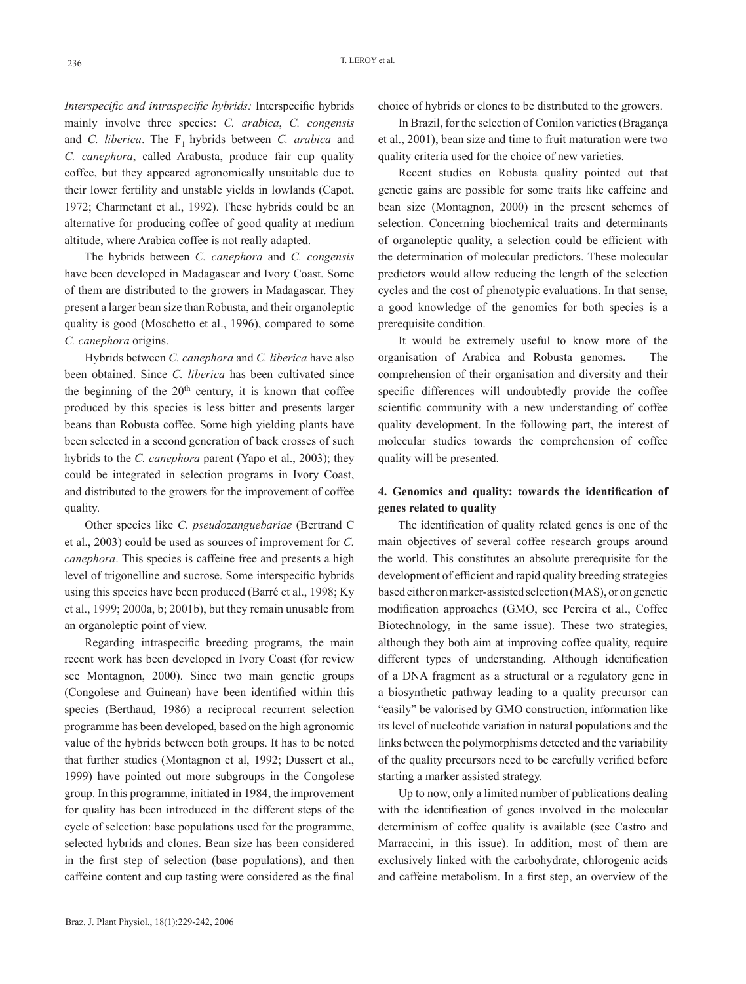*Interspecific and intraspecific hybrids:* Interspecific hybrids mainly involve three species: *C. arabica*, *C. congensis* and *C. liberica*. The F<sub>1</sub> hybrids between *C. arabica* and *C. canephora*, called Arabusta, produce fair cup quality coffee, but they appeared agronomically unsuitable due to their lower fertility and unstable yields in lowlands (Capot, 1972; Charmetant et al., 1992). These hybrids could be an alternative for producing coffee of good quality at medium altitude, where Arabica coffee is not really adapted.

 The hybrids between *C. canephora* and *C. congensis* have been developed in Madagascar and Ivory Coast. Some of them are distributed to the growers in Madagascar. They present a larger bean size than Robusta, and their organoleptic quality is good (Moschetto et al., 1996), compared to some *C. canephora* origins.

 Hybrids between *C. canephora* and *C. liberica* have also been obtained. Since *C. liberica* has been cultivated since the beginning of the  $20<sup>th</sup>$  century, it is known that coffee produced by this species is less bitter and presents larger beans than Robusta coffee. Some high yielding plants have been selected in a second generation of back crosses of such hybrids to the *C. canephora* parent (Yapo et al., 2003); they could be integrated in selection programs in Ivory Coast, and distributed to the growers for the improvement of coffee quality.

 Other species like *C. pseudozanguebariae* (Bertrand C et al., 2003) could be used as sources of improvement for *C. canephora*. This species is caffeine free and presents a high level of trigonelline and sucrose. Some interspecific hybrids using this species have been produced (Barré et al., 1998; Ky et al., 1999; 2000a, b; 2001b), but they remain unusable from an organoleptic point of view.

 Regarding intraspecific breeding programs, the main recent work has been developed in Ivory Coast (for review see Montagnon, 2000). Since two main genetic groups (Congolese and Guinean) have been identified within this species (Berthaud, 1986) a reciprocal recurrent selection programme has been developed, based on the high agronomic value of the hybrids between both groups. It has to be noted that further studies (Montagnon et al, 1992; Dussert et al., 1999) have pointed out more subgroups in the Congolese group. In this programme, initiated in 1984, the improvement for quality has been introduced in the different steps of the cycle of selection: base populations used for the programme, selected hybrids and clones. Bean size has been considered in the first step of selection (base populations), and then caffeine content and cup tasting were considered as the final choice of hybrids or clones to be distributed to the growers.

 In Brazil, for the selection of Conilon varieties (Bragança et al., 2001), bean size and time to fruit maturation were two quality criteria used for the choice of new varieties.

 Recent studies on Robusta quality pointed out that genetic gains are possible for some traits like caffeine and bean size (Montagnon, 2000) in the present schemes of selection. Concerning biochemical traits and determinants of organoleptic quality, a selection could be efficient with the determination of molecular predictors. These molecular predictors would allow reducing the length of the selection cycles and the cost of phenotypic evaluations. In that sense, a good knowledge of the genomics for both species is a prerequisite condition.

 It would be extremely useful to know more of the organisation of Arabica and Robusta genomes. The comprehension of their organisation and diversity and their specific differences will undoubtedly provide the coffee scientific community with a new understanding of coffee quality development. In the following part, the interest of molecular studies towards the comprehension of coffee quality will be presented.

# **4. Genomics and quality: towards the identification of genes related to quality**

 The identification of quality related genes is one of the main objectives of several coffee research groups around the world. This constitutes an absolute prerequisite for the development of efficient and rapid quality breeding strategies based either on marker-assisted selection (MAS), or on genetic modification approaches (GMO, see Pereira et al., Coffee Biotechnology, in the same issue). These two strategies, although they both aim at improving coffee quality, require different types of understanding. Although identification of a DNA fragment as a structural or a regulatory gene in a biosynthetic pathway leading to a quality precursor can "easily" be valorised by GMO construction, information like its level of nucleotide variation in natural populations and the links between the polymorphisms detected and the variability of the quality precursors need to be carefully verified before starting a marker assisted strategy.

 Up to now, only a limited number of publications dealing with the identification of genes involved in the molecular determinism of coffee quality is available (see Castro and Marraccini, in this issue). In addition, most of them are exclusively linked with the carbohydrate, chlorogenic acids and caffeine metabolism. In a first step, an overview of the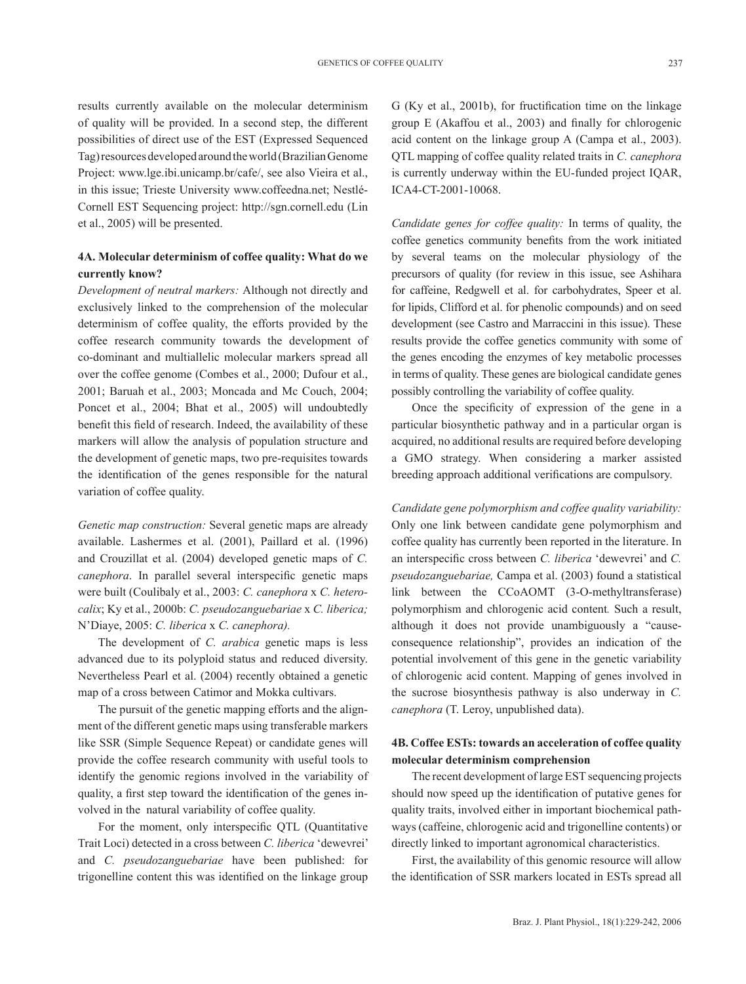results currently available on the molecular determinism of quality will be provided. In a second step, the different possibilities of direct use of the EST (Expressed Sequenced Tag) resources developed around the world (Brazilian Genome Project: www.lge.ibi.unicamp.br/cafe/, see also Vieira et al., in this issue; Trieste University www.coffeedna.net; Nestlé-Cornell EST Sequencing project: http://sgn.cornell.edu (Lin et al., 2005) will be presented.

# **4A. Molecular determinism of coffee quality: What do we currently know?**

*Development of neutral markers:* Although not directly and exclusively linked to the comprehension of the molecular determinism of coffee quality, the efforts provided by the coffee research community towards the development of co-dominant and multiallelic molecular markers spread all over the coffee genome (Combes et al., 2000; Dufour et al., 2001; Baruah et al., 2003; Moncada and Mc Couch, 2004; Poncet et al., 2004; Bhat et al., 2005) will undoubtedly benefit this field of research. Indeed, the availability of these markers will allow the analysis of population structure and the development of genetic maps, two pre-requisites towards the identification of the genes responsible for the natural variation of coffee quality.

*Genetic map construction:* Several genetic maps are already available. Lashermes et al. (2001), Paillard et al. (1996) and Crouzillat et al. (2004) developed genetic maps of *C. canephora*. In parallel several interspecific genetic maps were built (Coulibaly et al., 2003: *C. canephora* x *C. heterocalix*; Ky et al., 2000b: *C. pseudozanguebariae* x *C. liberica;* N'Diaye, 2005: *C. liberica* x *C. canephora).*

 The development of *C. arabica* genetic maps is less advanced due to its polyploid status and reduced diversity. Nevertheless Pearl et al. (2004) recently obtained a genetic map of a cross between Catimor and Mokka cultivars.

 The pursuit of the genetic mapping efforts and the alignment of the different genetic maps using transferable markers like SSR (Simple Sequence Repeat) or candidate genes will provide the coffee research community with useful tools to identify the genomic regions involved in the variability of quality, a first step toward the identification of the genes involved in the natural variability of coffee quality.

 For the moment, only interspecific QTL (Quantitative Trait Loci) detected in a cross between *C. liberica* 'dewevrei' and *C. pseudozanguebariae* have been published: for trigonelline content this was identified on the linkage group G (Ky et al., 2001b), for fructification time on the linkage group E (Akaffou et al., 2003) and finally for chlorogenic acid content on the linkage group A (Campa et al., 2003). QTL mapping of coffee quality related traits in *C. canephora* is currently underway within the EU-funded project IQAR, ICA4-CT-2001-10068.

*Candidate genes for coffee quality:* In terms of quality, the coffee genetics community benefits from the work initiated by several teams on the molecular physiology of the precursors of quality (for review in this issue, see Ashihara for caffeine, Redgwell et al. for carbohydrates, Speer et al. for lipids, Clifford et al. for phenolic compounds) and on seed development (see Castro and Marraccini in this issue). These results provide the coffee genetics community with some of the genes encoding the enzymes of key metabolic processes in terms of quality. These genes are biological candidate genes possibly controlling the variability of coffee quality.

 Once the specificity of expression of the gene in a particular biosynthetic pathway and in a particular organ is acquired, no additional results are required before developing a GMO strategy. When considering a marker assisted breeding approach additional verifications are compulsory.

*Candidate gene polymorphism and coffee quality variability:*  Only one link between candidate gene polymorphism and coffee quality has currently been reported in the literature. In an interspecific cross between *C. liberica* 'dewevrei' and *C. pseudozanguebariae,* Campa et al. (2003) found a statistical link between the CCoAOMT (3-O-methyltransferase) polymorphism and chlorogenic acid content*.* Such a result, although it does not provide unambiguously a "causeconsequence relationship", provides an indication of the potential involvement of this gene in the genetic variability of chlorogenic acid content. Mapping of genes involved in the sucrose biosynthesis pathway is also underway in *C. canephora* (T. Leroy, unpublished data).

# **4B. Coffee ESTs: towards an acceleration of coffee quality molecular determinism comprehension**

 The recent development of large EST sequencing projects should now speed up the identification of putative genes for quality traits, involved either in important biochemical pathways (caffeine, chlorogenic acid and trigonelline contents) or directly linked to important agronomical characteristics.

 First, the availability of this genomic resource will allow the identification of SSR markers located in ESTs spread all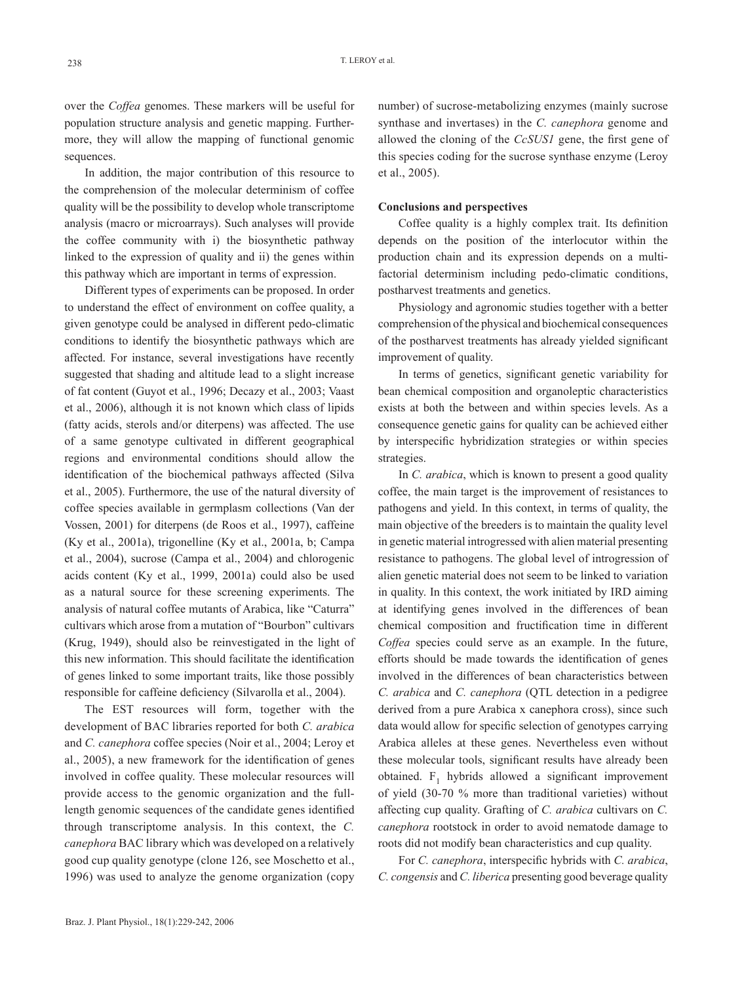over the *Coffea* genomes. These markers will be useful for population structure analysis and genetic mapping. Furthermore, they will allow the mapping of functional genomic sequences.

 In addition, the major contribution of this resource to the comprehension of the molecular determinism of coffee quality will be the possibility to develop whole transcriptome analysis (macro or microarrays). Such analyses will provide the coffee community with i) the biosynthetic pathway linked to the expression of quality and ii) the genes within this pathway which are important in terms of expression.

 Different types of experiments can be proposed. In order to understand the effect of environment on coffee quality, a given genotype could be analysed in different pedo-climatic conditions to identify the biosynthetic pathways which are affected. For instance, several investigations have recently suggested that shading and altitude lead to a slight increase of fat content (Guyot et al., 1996; Decazy et al., 2003; Vaast et al., 2006), although it is not known which class of lipids (fatty acids, sterols and/or diterpens) was affected. The use of a same genotype cultivated in different geographical regions and environmental conditions should allow the identification of the biochemical pathways affected (Silva et al., 2005). Furthermore, the use of the natural diversity of coffee species available in germplasm collections (Van der Vossen, 2001) for diterpens (de Roos et al., 1997), caffeine (Ky et al., 2001a), trigonelline (Ky et al., 2001a, b; Campa et al., 2004), sucrose (Campa et al., 2004) and chlorogenic acids content (Ky et al., 1999, 2001a) could also be used as a natural source for these screening experiments. The analysis of natural coffee mutants of Arabica, like "Caturra" cultivars which arose from a mutation of "Bourbon" cultivars (Krug, 1949), should also be reinvestigated in the light of this new information. This should facilitate the identification of genes linked to some important traits, like those possibly responsible for caffeine deficiency (Silvarolla et al., 2004).

 The EST resources will form, together with the development of BAC libraries reported for both *C. arabica* and *C. canephora* coffee species (Noir et al., 2004; Leroy et al., 2005), a new framework for the identification of genes involved in coffee quality. These molecular resources will provide access to the genomic organization and the fulllength genomic sequences of the candidate genes identified through transcriptome analysis. In this context, the *C. canephora* BAC library which was developed on a relatively good cup quality genotype (clone 126, see Moschetto et al., 1996) was used to analyze the genome organization (copy number) of sucrose-metabolizing enzymes (mainly sucrose synthase and invertases) in the *C. canephora* genome and allowed the cloning of the *CcSUS1* gene, the first gene of this species coding for the sucrose synthase enzyme (Leroy et al., 2005).

# **Conclusions and perspectives**

 Coffee quality is a highly complex trait. Its definition depends on the position of the interlocutor within the production chain and its expression depends on a multifactorial determinism including pedo-climatic conditions, postharvest treatments and genetics.

 Physiology and agronomic studies together with a better comprehension of the physical and biochemical consequences of the postharvest treatments has already yielded significant improvement of quality.

 In terms of genetics, significant genetic variability for bean chemical composition and organoleptic characteristics exists at both the between and within species levels. As a consequence genetic gains for quality can be achieved either by interspecific hybridization strategies or within species strategies.

 In *C. arabica*, which is known to present a good quality coffee, the main target is the improvement of resistances to pathogens and yield. In this context, in terms of quality, the main objective of the breeders is to maintain the quality level in genetic material introgressed with alien material presenting resistance to pathogens. The global level of introgression of alien genetic material does not seem to be linked to variation in quality. In this context, the work initiated by IRD aiming at identifying genes involved in the differences of bean chemical composition and fructification time in different *Coffea* species could serve as an example. In the future, efforts should be made towards the identification of genes involved in the differences of bean characteristics between *C. arabica* and *C. canephora* (QTL detection in a pedigree derived from a pure Arabica x canephora cross), since such data would allow for specific selection of genotypes carrying Arabica alleles at these genes. Nevertheless even without these molecular tools, significant results have already been obtained.  $F_1$  hybrids allowed a significant improvement of yield (30-70 % more than traditional varieties) without affecting cup quality. Grafting of *C. arabica* cultivars on *C. canephora* rootstock in order to avoid nematode damage to roots did not modify bean characteristics and cup quality.

 For *C. canephora*, interspecific hybrids with *C. arabica*, *C. congensis* and *C. liberica* presenting good beverage quality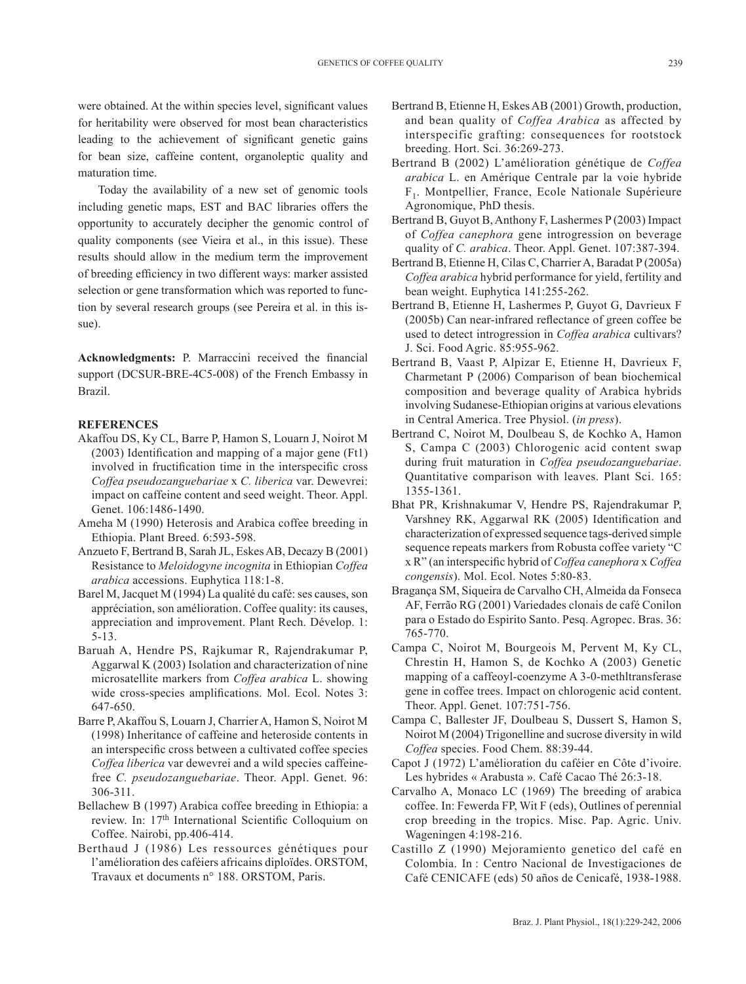were obtained. At the within species level, significant values for heritability were observed for most bean characteristics leading to the achievement of significant genetic gains for bean size, caffeine content, organoleptic quality and maturation time.

 Today the availability of a new set of genomic tools including genetic maps, EST and BAC libraries offers the opportunity to accurately decipher the genomic control of quality components (see Vieira et al., in this issue). These results should allow in the medium term the improvement of breeding efficiency in two different ways: marker assisted selection or gene transformation which was reported to function by several research groups (see Pereira et al. in this issue).

**Acknowledgments:** P. Marraccini received the financial support (DCSUR-BRE-4C5-008) of the French Embassy in Brazil.

#### **REFERENCES**

- Akaffou DS, Ky CL, Barre P, Hamon S, Louarn J, Noirot M (2003) Identification and mapping of a major gene (Ft1) involved in fructification time in the interspecific cross *Coffea pseudozanguebariae* x *C. liberica* var. Dewevrei: impact on caffeine content and seed weight. Theor. Appl. Genet. 106:1486-1490.
- Ameha M (1990) Heterosis and Arabica coffee breeding in Ethiopia. Plant Breed. 6:593-598.
- Anzueto F, Bertrand B, Sarah JL, Eskes AB, Decazy B (2001) Resistance to *Meloidogyne incognita* in Ethiopian *Coffea arabica* accessions. Euphytica 118:1-8.
- Barel M, Jacquet M (1994) La qualité du café: ses causes, son appréciation, son amélioration. Coffee quality: its causes, appreciation and improvement. Plant Rech. Dévelop. 1: 5-13.
- Baruah A, Hendre PS, Rajkumar R, Rajendrakumar P, Aggarwal K (2003) Isolation and characterization of nine microsatellite markers from *Coffea arabica* L. showing wide cross-species amplifications. Mol. Ecol. Notes 3: 647-650.
- Barre P, Akaffou S, Louarn J, Charrier A, Hamon S, Noirot M (1998) Inheritance of caffeine and heteroside contents in an interspecific cross between a cultivated coffee species *Coffea liberica* var dewevrei and a wild species caffeinefree *C. pseudozanguebariae*. Theor. Appl. Genet. 96: 306-311.
- Bellachew B (1997) Arabica coffee breeding in Ethiopia: a review. In: 17th International Scientific Colloquium on Coffee. Nairobi, pp.406-414.
- Berthaud J (1986) Les ressources génétiques pour l'amélioration des caféiers africains diploïdes. ORSTOM, Travaux et documents n° 188. ORSTOM, Paris.
- Bertrand B, Etienne H, Eskes AB (2001) Growth, production, and bean quality of *Coffea Arabica* as affected by interspecific grafting: consequences for rootstock breeding. Hort. Sci. 36:269-273.
- Bertrand B (2002) L'amélioration génétique de *Coffea arabica* L. en Amérique Centrale par la voie hybride F1. Montpellier, France, Ecole Nationale Supérieure Agronomique, PhD thesis.
- Bertrand B, Guyot B, Anthony F, Lashermes P (2003) Impact of *Coffea canephora* gene introgression on beverage quality of *C. arabica*. Theor. Appl. Genet. 107:387-394.
- Bertrand B, Etienne H, Cilas C, Charrier A, Baradat P (2005a) *Coffea arabica* hybrid performance for yield, fertility and bean weight. Euphytica 141:255-262.
- Bertrand B, Etienne H, Lashermes P, Guyot G, Davrieux F (2005b) Can near-infrared reflectance of green coffee be used to detect introgression in *Coffea arabica* cultivars? J. Sci. Food Agric. 85:955-962.
- Bertrand B, Vaast P, Alpizar E, Etienne H, Davrieux F, Charmetant P (2006) Comparison of bean biochemical composition and beverage quality of Arabica hybrids involving Sudanese-Ethiopian origins at various elevations in Central America. Tree Physiol. (*in press*).
- Bertrand C, Noirot M, Doulbeau S, de Kochko A, Hamon S, Campa C (2003) Chlorogenic acid content swap during fruit maturation in *Coffea pseudozanguebariae*. Quantitative comparison with leaves. Plant Sci. 165: 1355-1361.
- Bhat PR, Krishnakumar V, Hendre PS, Rajendrakumar P, Varshney RK, Aggarwal RK (2005) Identification and characterization of expressed sequence tags-derived simple sequence repeats markers from Robusta coffee variety "C x R" (an interspecific hybrid of *Coffea canephora* x *Coffea congensis*). Mol. Ecol. Notes 5:80-83.
- Bragança SM, Siqueira de Carvalho CH, Almeida da Fonseca AF, Ferrão RG (2001) Variedades clonais de café Conilon para o Estado do Espirito Santo. Pesq. Agropec. Bras. 36: 765-770.
- Campa C, Noirot M, Bourgeois M, Pervent M, Ky CL, Chrestin H, Hamon S, de Kochko A (2003) Genetic mapping of a caffeoyl-coenzyme A 3-0-methltransferase gene in coffee trees. Impact on chlorogenic acid content. Theor. Appl. Genet. 107:751-756.
- Campa C, Ballester JF, Doulbeau S, Dussert S, Hamon S, Noirot M (2004) Trigonelline and sucrose diversity in wild *Coffea* species. Food Chem. 88:39-44.
- Capot J (1972) L'amélioration du caféier en Côte d'ivoire. Les hybrides « Arabusta ». Café Cacao Thé 26:3-18.
- Carvalho A, Monaco LC (1969) The breeding of arabica coffee. In: Fewerda FP, Wit F (eds), Outlines of perennial crop breeding in the tropics. Misc. Pap. Agric. Univ. Wageningen 4:198-216.
- Castillo Z (1990) Mejoramiento genetico del café en Colombia. In : Centro Nacional de Investigaciones de Café CENICAFE (eds) 50 años de Cenicafé, 1938-1988.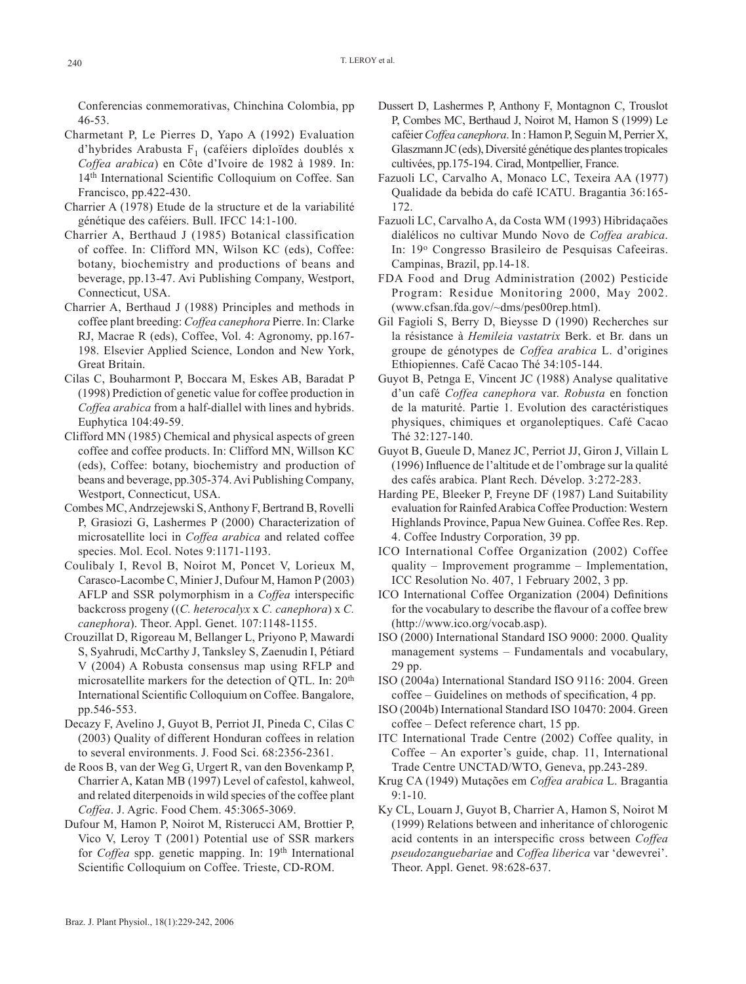Conferencias conmemorativas, Chinchina Colombia, pp 46-53.

- Charmetant P, Le Pierres D, Yapo A (1992) Evaluation d'hybrides Arabusta F<sub>1</sub> (caféiers diploïdes doublés x *Coffea arabica*) en Côte d'Ivoire de 1982 à 1989. In: 14th International Scientific Colloquium on Coffee. San Francisco, pp.422-430.
- Charrier A (1978) Etude de la structure et de la variabilité génétique des caféiers. Bull. IFCC 14:1-100.
- Charrier A, Berthaud J (1985) Botanical classification of coffee. In: Clifford MN, Wilson KC (eds), Coffee: botany, biochemistry and productions of beans and beverage, pp.13-47. Avi Publishing Company, Westport, Connecticut, USA.
- Charrier A, Berthaud J (1988) Principles and methods in coffee plant breeding: *Coffea canephora* Pierre. In: Clarke RJ, Macrae R (eds), Coffee, Vol. 4: Agronomy, pp.167- 198. Elsevier Applied Science, London and New York, Great Britain.
- Cilas C, Bouharmont P, Boccara M, Eskes AB, Baradat P (1998) Prediction of genetic value for coffee production in *Coffea arabica* from a half-diallel with lines and hybrids. Euphytica 104:49-59.
- Clifford MN (1985) Chemical and physical aspects of green coffee and coffee products. In: Clifford MN, Willson KC (eds), Coffee: botany, biochemistry and production of beans and beverage, pp.305-374. Avi Publishing Company, Westport, Connecticut, USA.
- Combes MC, Andrzejewski S, Anthony F, Bertrand B, Rovelli P, Grasiozi G, Lashermes P (2000) Characterization of microsatellite loci in *Coffea arabica* and related coffee species. Mol. Ecol. Notes 9:1171-1193.
- Coulibaly I, Revol B, Noirot M, Poncet V, Lorieux M, Carasco-Lacombe C, Minier J, Dufour M, Hamon P (2003) AFLP and SSR polymorphism in a *Coffea* interspecific backcross progeny ((*C. heterocalyx* x *C. canephora*) x *C. canephora*). Theor. Appl. Genet. 107:1148-1155.
- Crouzillat D, Rigoreau M, Bellanger L, Priyono P, Mawardi S, Syahrudi, McCarthy J, Tanksley S, Zaenudin I, Pétiard V (2004) A Robusta consensus map using RFLP and microsatellite markers for the detection of QTL. In: 20th International Scientific Colloquium on Coffee. Bangalore, pp.546-553.
- Decazy F, Avelino J, Guyot B, Perriot JI, Pineda C, Cilas C (2003) Quality of different Honduran coffees in relation to several environments. J. Food Sci. 68:2356-2361.
- de Roos B, van der Weg G, Urgert R, van den Bovenkamp P, Charrier A, Katan MB (1997) Level of cafestol, kahweol, and related diterpenoids in wild species of the coffee plant *Coffea*. J. Agric. Food Chem. 45:3065-3069.
- Dufour M, Hamon P, Noirot M, Risterucci AM, Brottier P, Vico V, Leroy T (2001) Potential use of SSR markers for *Coffea* spp. genetic mapping. In: 19th International Scientific Colloquium on Coffee. Trieste, CD-ROM.
- Dussert D, Lashermes P, Anthony F, Montagnon C, Trouslot P, Combes MC, Berthaud J, Noirot M, Hamon S (1999) Le caféier *Coffea canephora*. In : Hamon P, Seguin M, Perrier X, Glaszmann JC (eds), Diversité génétique des plantes tropicales cultivées, pp.175-194. Cirad, Montpellier, France.
- Fazuoli LC, Carvalho A, Monaco LC, Texeira AA (1977) Qualidade da bebida do café ICATU. Bragantia 36:165- 172.
- Fazuoli LC, Carvalho A, da Costa WM (1993) Hibridaçaões dialélicos no cultivar Mundo Novo de *Coffea arabica*. In: 19o Congresso Brasileiro de Pesquisas Cafeeiras. Campinas, Brazil, pp.14-18.
- FDA Food and Drug Administration (2002) Pesticide Program: Residue Monitoring 2000, May 2002. (www.cfsan.fda.gov/~dms/pes00rep.html).
- Gil Fagioli S, Berry D, Bieysse D (1990) Recherches sur la résistance à *Hemileia vastatrix* Berk. et Br. dans un groupe de génotypes de *Coffea arabica* L. d'origines Ethiopiennes. Café Cacao Thé 34:105-144.
- Guyot B, Petnga E, Vincent JC (1988) Analyse qualitative d'un café *Coffea canephora* var. *Robusta* en fonction de la maturité. Partie 1. Evolution des caractéristiques physiques, chimiques et organoleptiques. Café Cacao Thé 32:127-140.
- Guyot B, Gueule D, Manez JC, Perriot JJ, Giron J, Villain L (1996) Influence de l'altitude et de l'ombrage sur la qualité des cafés arabica. Plant Rech. Dévelop. 3:272-283.
- Harding PE, Bleeker P, Freyne DF (1987) Land Suitability evaluation for Rainfed Arabica Coffee Production: Western Highlands Province, Papua New Guinea. Coffee Res. Rep. 4. Coffee Industry Corporation, 39 pp.
- ICO International Coffee Organization (2002) Coffee quality – Improvement programme – Implementation, ICC Resolution No. 407, 1 February 2002, 3 pp.
- ICO International Coffee Organization (2004) Definitions for the vocabulary to describe the flavour of a coffee brew (http://www.ico.org/vocab.asp).
- ISO (2000) International Standard ISO 9000: 2000. Quality management systems – Fundamentals and vocabulary, 29 pp.
- ISO (2004a) International Standard ISO 9116: 2004. Green coffee – Guidelines on methods of specification, 4 pp.
- ISO (2004b) International Standard ISO 10470: 2004. Green coffee – Defect reference chart, 15 pp.
- ITC International Trade Centre (2002) Coffee quality, in Coffee – An exporter's guide, chap. 11, International Trade Centre UNCTAD/WTO, Geneva, pp.243-289.
- Krug CA (1949) Mutações em *Coffea arabica* L. Bragantia 9:1-10.
- Ky CL, Louarn J, Guyot B, Charrier A, Hamon S, Noirot M (1999) Relations between and inheritance of chlorogenic acid contents in an interspecific cross between *Coffea pseudozanguebariae* and *Coffea liberica* var 'dewevrei'. Theor. Appl. Genet. 98:628-637.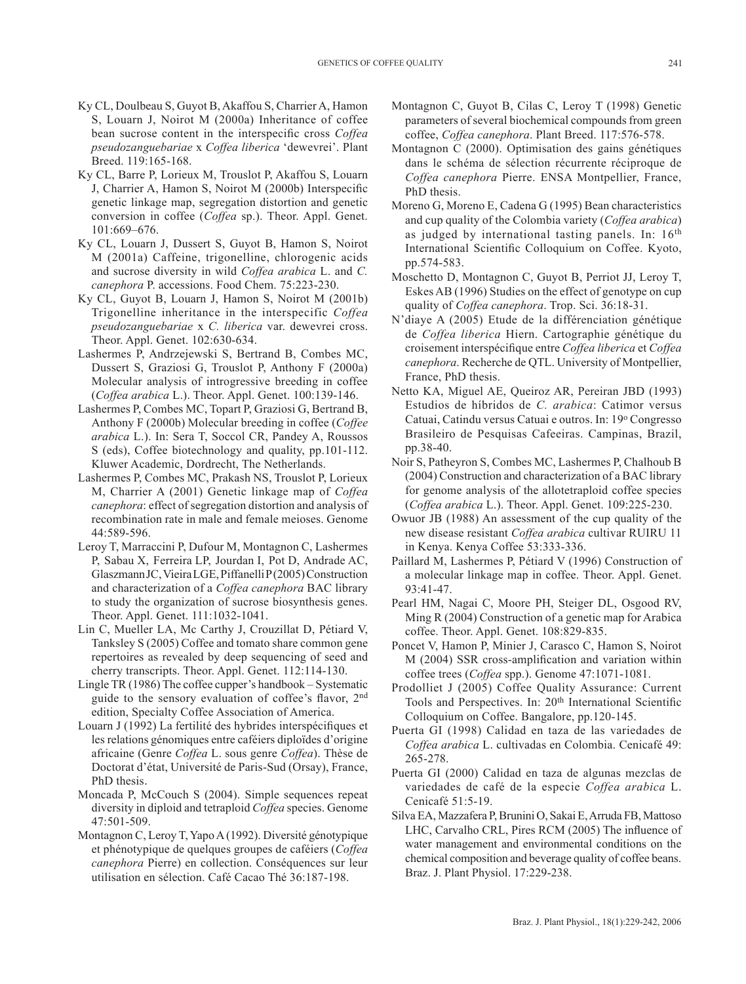- Ky CL, Doulbeau S, Guyot B, Akaffou S, Charrier A, Hamon S, Louarn J, Noirot M (2000a) Inheritance of coffee bean sucrose content in the interspecific cross *Coffea pseudozanguebariae* x *Coffea liberica* 'dewevrei'. Plant Breed. 119:165-168.
- Ky CL, Barre P, Lorieux M, Trouslot P, Akaffou S, Louarn J, Charrier A, Hamon S, Noirot M (2000b) Interspecific genetic linkage map, segregation distortion and genetic conversion in coffee (*Coffea* sp.). Theor. Appl. Genet. 101:669–676.
- Ky CL, Louarn J, Dussert S, Guyot B, Hamon S, Noirot M (2001a) Caffeine, trigonelline, chlorogenic acids and sucrose diversity in wild *Coffea arabica* L. and *C. canephora* P. accessions. Food Chem. 75:223-230.
- Ky CL, Guyot B, Louarn J, Hamon S, Noirot M (2001b) Trigonelline inheritance in the interspecific *Coffea pseudozanguebariae* x *C. liberica* var. dewevrei cross. Theor. Appl. Genet. 102:630-634.
- Lashermes P, Andrzejewski S, Bertrand B, Combes MC, Dussert S, Graziosi G, Trouslot P, Anthony F (2000a) Molecular analysis of introgressive breeding in coffee (*Coffea arabica* L.). Theor. Appl. Genet. 100:139-146.
- Lashermes P, Combes MC, Topart P, Graziosi G, Bertrand B, Anthony F (2000b) Molecular breeding in coffee (*Coffee arabica* L.). In: Sera T, Soccol CR, Pandey A, Roussos S (eds), Coffee biotechnology and quality, pp.101-112. Kluwer Academic, Dordrecht, The Netherlands.
- Lashermes P, Combes MC, Prakash NS, Trouslot P, Lorieux M, Charrier A (2001) Genetic linkage map of *Coffea canephora*: effect of segregation distortion and analysis of recombination rate in male and female meioses. Genome 44:589-596.
- Leroy T, Marraccini P, Dufour M, Montagnon C, Lashermes P, Sabau X, Ferreira LP, Jourdan I, Pot D, Andrade AC, GlaszmannJC, VieiraLGE, PiffanelliP (2005) Construction and characterization of a *Coffea canephora* BAC library to study the organization of sucrose biosynthesis genes. Theor. Appl. Genet. 111:1032-1041.
- Lin C, Mueller LA, Mc Carthy J, Crouzillat D, Pétiard V, Tanksley S (2005) Coffee and tomato share common gene repertoires as revealed by deep sequencing of seed and cherry transcripts. Theor. Appl. Genet. 112:114-130.
- Lingle TR (1986) The coffee cupper's handbook Systematic guide to the sensory evaluation of coffee's flavor, 2nd edition, Specialty Coffee Association of America.
- Louarn J (1992) La fertilité des hybrides interspécifiques et les relations génomiques entre caféiers diploïdes d'origine africaine (Genre *Coffea* L. sous genre *Coffea*). Thèse de Doctorat d'état, Université de Paris-Sud (Orsay), France, PhD thesis.
- Moncada P, McCouch S (2004). Simple sequences repeat diversity in diploid and tetraploid *Coffea* species. Genome 47:501-509.
- Montagnon C, Leroy T, Yapo A (1992). Diversité génotypique et phénotypique de quelques groupes de caféiers (*Coffea canephora* Pierre) en collection. Conséquences sur leur utilisation en sélection. Café Cacao Thé 36:187-198.
- Montagnon C, Guyot B, Cilas C, Leroy T (1998) Genetic parameters of several biochemical compounds from green coffee, *Coffea canephora*. Plant Breed. 117:576-578.
- Montagnon C (2000). Optimisation des gains génétiques dans le schéma de sélection récurrente réciproque de *Coffea canephora* Pierre. ENSA Montpellier, France, PhD thesis.
- Moreno G, Moreno E, Cadena G (1995) Bean characteristics and cup quality of the Colombia variety (*Coffea arabica*) as judged by international tasting panels. In: 16th International Scientific Colloquium on Coffee. Kyoto, pp.574-583.
- Moschetto D, Montagnon C, Guyot B, Perriot JJ, Leroy T, Eskes AB (1996) Studies on the effect of genotype on cup quality of *Coffea canephora*. Trop. Sci. 36:18-31.
- N'diaye A (2005) Etude de la différenciation génétique de *Coffea liberica* Hiern. Cartographie génétique du croisement interspécifique entre *Coffea liberica* et *Coffea canephora*. Recherche de QTL. University of Montpellier, France, PhD thesis.
- Netto KA, Miguel AE, Queiroz AR, Pereiran JBD (1993) Estudios de híbridos de *C. arabica*: Catimor versus Catuai, Catindu versus Catuai e outros. In: 19o Congresso Brasileiro de Pesquisas Cafeeiras. Campinas, Brazil, pp.38-40.
- Noir S, Patheyron S, Combes MC, Lashermes P, Chalhoub B (2004) Construction and characterization of a BAC library for genome analysis of the allotetraploid coffee species (*Coffea arabica* L.). Theor. Appl. Genet. 109:225-230.
- Owuor JB (1988) An assessment of the cup quality of the new disease resistant *Coffea arabica* cultivar RUIRU 11 in Kenya. Kenya Coffee 53:333-336.
- Paillard M, Lashermes P, Pétiard V (1996) Construction of a molecular linkage map in coffee. Theor. Appl. Genet. 93:41-47.
- Pearl HM, Nagai C, Moore PH, Steiger DL, Osgood RV, Ming R (2004) Construction of a genetic map for Arabica coffee. Theor. Appl. Genet. 108:829-835.
- Poncet V, Hamon P, Minier J, Carasco C, Hamon S, Noirot M (2004) SSR cross-amplification and variation within coffee trees (*Coffea* spp.). Genome 47:1071-1081.
- Prodolliet J (2005) Coffee Quality Assurance: Current Tools and Perspectives. In: 20th International Scientific Colloquium on Coffee. Bangalore, pp.120-145.
- Puerta GI (1998) Calidad en taza de las variedades de *Coffea arabica* L. cultivadas en Colombia. Cenicafé 49: 265-278.
- Puerta GI (2000) Calidad en taza de algunas mezclas de variedades de café de la especie *Coffea arabica* L. Cenicafé 51:5-19.
- Silva EA, Mazzafera P, Brunini O, Sakai E, Arruda FB, Mattoso LHC, Carvalho CRL, Pires RCM (2005) The influence of water management and environmental conditions on the chemical composition and beverage quality of coffee beans. Braz. J. Plant Physiol. 17:229-238.